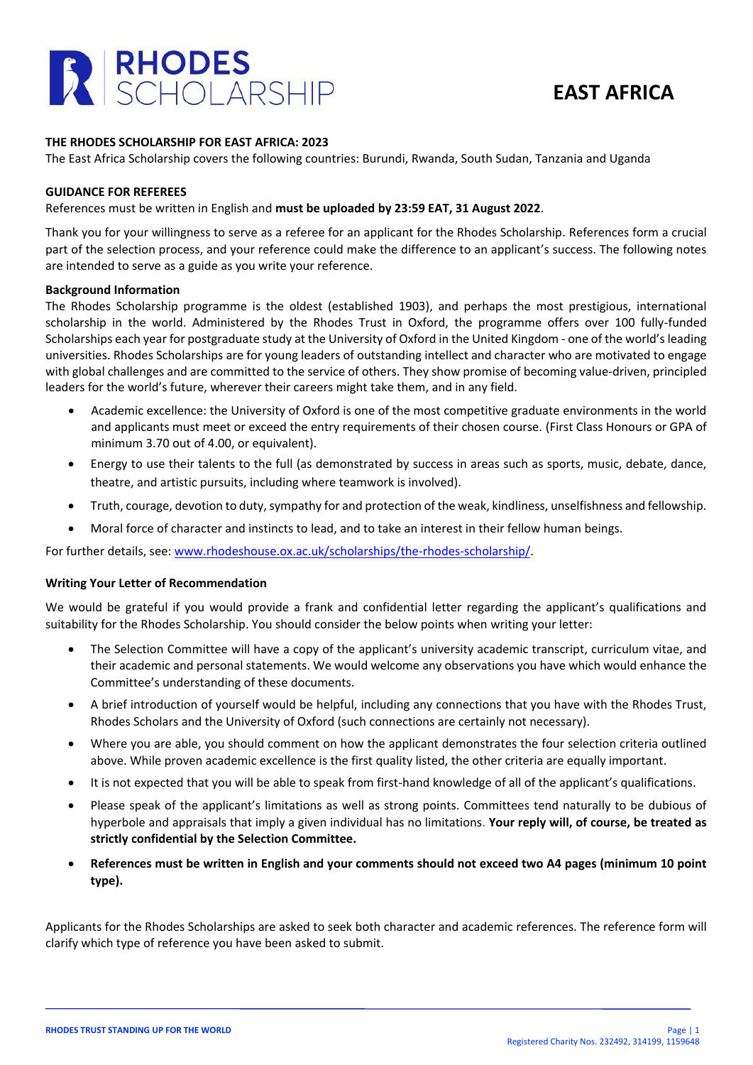



## **THE RHODES SCHOLARSHIP FOR EAST AFRICA: 2023**

The East Africa Scholarship covers the following countries: Burundi, Rwanda, South Sudan, Tanzania and Uganda

### **GUIDANCE FOR REFEREES**

### References must be written in English and **must be uploaded by 23:59 EAT, 31 August 2022**.

Thank you for your willingness to serve as a referee for an applicant for the Rhodes Scholarship. References form a crucial part of the selection process, and your reference could make the difference to an applicant's success. The following notes are intended to serve as a guide as you write your reference.

#### **Background Information**

The Rhodes Scholarship programme is the oldest (established 1903), and perhaps the most prestigious, international scholarship in the world. Administered by the Rhodes Trust in Oxford, the programme offers over 100 fully-funded Scholarships each year for postgraduate study at the University of Oxford in the United Kingdom - one of the world's leading universities. Rhodes Scholarships are for young leaders of outstanding intellect and character who are motivated to engage with global challenges and are committed to the service of others. They show promise of becoming value-driven, principled leaders for the world's future, wherever their careers might take them, and in any field.

- Academic excellence: the University of Oxford is one of the most competitive graduate environments in the world and applicants must meet or exceed the entry requirements of their chosen course. (First Class Honours or GPA of minimum 3.70 out of 4.00, or equivalent).
- Energy to use their talents to the full (as demonstrated by success in areas such as sports, music, debate, dance, theatre, and artistic pursuits, including where teamwork is involved).
- Truth, courage, devotion to duty, sympathy for and protection of the weak, kindliness, unselfishness and fellowship.
- Moral force of character and instincts to lead, and to take an interest in their fellow human beings.

For further details, see: [www.rhodeshouse.ox.ac.uk/scholarships/the-rhodes-scholarship/.](http://www.rhodeshouse.ox.ac.uk/scholarships/the-rhodes-scholarship/)

## **Writing Your Letter of Recommendation**

We would be grateful if you would provide a frank and confidential letter regarding the applicant's qualifications and suitability for the Rhodes Scholarship. You should consider the below points when writing your letter:

- The Selection Committee will have a copy of the applicant's university academic transcript, curriculum vitae, and their academic and personal statements. We would welcome any observations you have which would enhance the Committee's understanding of these documents.
- A brief introduction of yourself would be helpful, including any connections that you have with the Rhodes Trust, Rhodes Scholars and the University of Oxford (such connections are certainly not necessary).
- Where you are able, you should comment on how the applicant demonstrates the four selection criteria outlined above. While proven academic excellence is the first quality listed, the other criteria are equally important.
- It is not expected that you will be able to speak from first-hand knowledge of all of the applicant's qualifications.
- Please speak of the applicant's limitations as well as strong points. Committees tend naturally to be dubious of hyperbole and appraisals that imply a given individual has no limitations. **Your reply will, of course, be treated as strictly confidential by the Selection Committee.**
- **References must be written in English and your comments should not exceed two A4 pages (minimum 10 point type).**

Applicants for the Rhodes Scholarships are asked to seek both character and academic references. The reference form will clarify which type of reference you have been asked to submit.